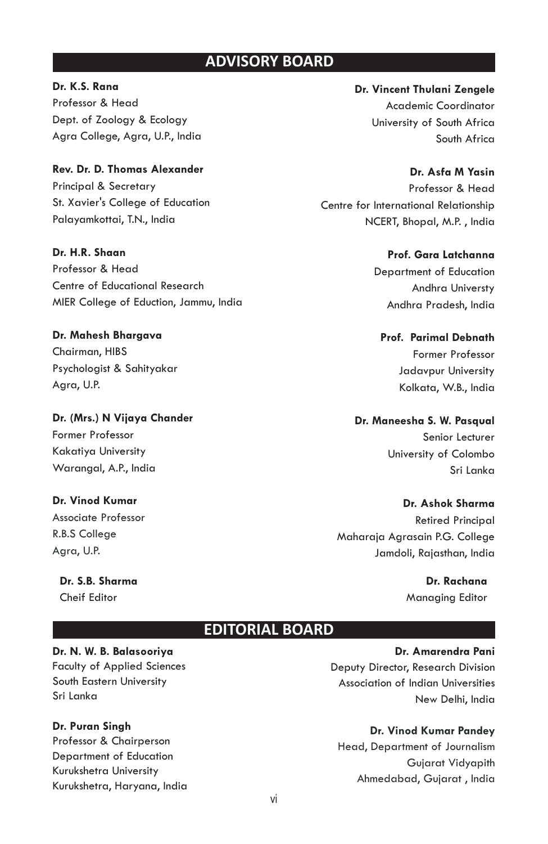## **ADVISORY BOARD**

**Dr. K.S. Rana** Professor & Head Dept. of Zoology & Ecology Agra College, Agra, U.P., India

**Rev. Dr. D. Thomas Alexander** Principal & Secretary St. Xavier's College of Education Palayamkottai, T.N., India

**Dr. H.R. Shaan** Professor & Head Centre of Educational Research MIER College of Eduction, Jammu, India

**Dr. Mahesh Bhargava** Chairman, HIBS Psychologist & Sahityakar Agra, U.P.

**Dr. (Mrs.) N Vijaya Chander** Former Professor Kakatiya University Warangal, A.P., India

**Dr. Vinod Kumar** Associate Professor R.B.S College Agra, U.P.

**Dr. S.B. Sharma** Cheif Editor

**Dr. Vincent Thulani Zengele** Academic Coordinator University of South Africa South Africa

**Dr. Asfa M Yasin** Professor & Head Centre for International Relationship NCERT, Bhopal, M.P. , India

> **Prof. Gara Latchanna** Department of Education Andhra Universty Andhra Pradesh, India

**Prof. Parimal Debnath** Former Professor Jadavpur University Kolkata, W.B., India

**Dr. Maneesha S. W. Pasqual**  Senior Lecturer University of Colombo Sri Lanka

**Dr. Ashok Sharma** Retired Principal Maharaja Agrasain P.G. College Jamdoli, Rajasthan, India

> **Dr. Rachana** Managing Editor

## **EDITORIAL BOARD**

**Dr. N. W. B. Balasooriya** Faculty of Applied Sciences South Eastern University Sri Lanka

**Dr. Puran Singh**

Professor & Chairperson Department of Education Kurukshetra University Kurukshetra, Haryana, India

# **Dr. Amarendra Pani**

Deputy Director, Research Division Association of Indian Universities New Delhi, India

**Dr. Vinod Kumar Pandey**

Head, Department of Journalism Gujarat Vidyapith Ahmedabad, Gujarat , India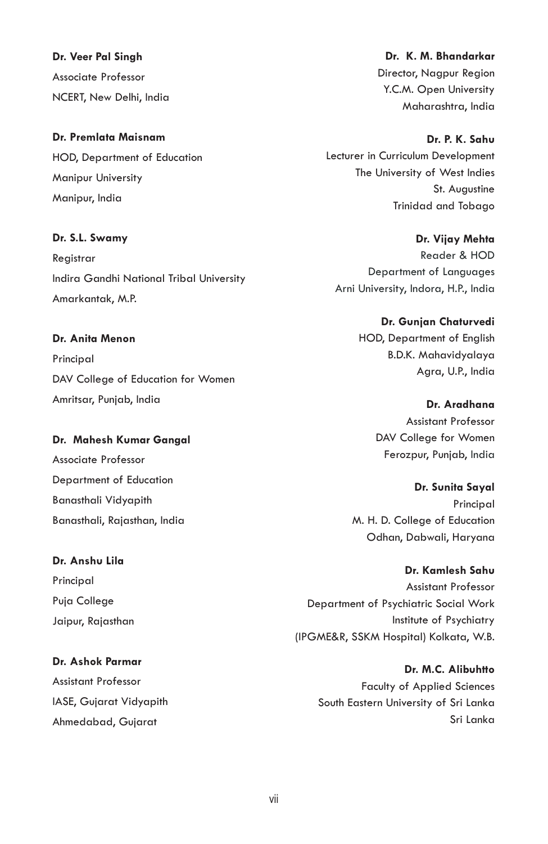**Dr. Veer Pal Singh** Associate Professor NCERT, New Delhi, India

## **Dr. Premlata Maisnam**

HOD, Department of Education Manipur University Manipur, India

#### **Dr. S.L. Swamy**

**Registrar** Indira Gandhi National Tribal University Amarkantak, M.P.

**Dr. Anita Menon** Principal DAV College of Education for Women Amritsar, Punjab, India

**Dr. Mahesh Kumar Gangal** Associate Professor Department of Education Banasthali Vidyapith Banasthali, Rajasthan, India

**Dr. Anshu Lila** Principal Puja College Jaipur, Rajasthan

**Dr. Ashok Parmar** Assistant Professor IASE, Gujarat Vidyapith Ahmedabad, Gujarat

**Dr. K. M. Bhandarkar** Director, Nagpur Region Y.C.M. Open University Maharashtra, India

**Dr. P. K. Sahu** Lecturer in Curriculum Development The University of West Indies

> St. Augustine Trinidad and Tobago

Reader & HOD Department of Languages Arni University, Indora, H.P., India **Dr. Vijay Mehta**

> **Dr. Gunjan Chaturvedi** HOD, Department of English B.D.K. Mahavidyalaya Agra, U.P., India

> > Ferozpur, Punjab, India **Dr. Aradhana** Assistant Professor DAV College for Women

**Dr. Sunita Sayal** Principal M. H. D. College of Education Odhan, Dabwali, Haryana

**Dr. Kamlesh Sahu** Assistant Professor Department of Psychiatric Social Work Institute of Psychiatry (IPGME&R, SSKM Hospital) Kolkata, W.B.

> **Dr. M.C. Alibuhtto** Faculty of Applied Sciences South Eastern University of Sri Lanka Sri Lanka